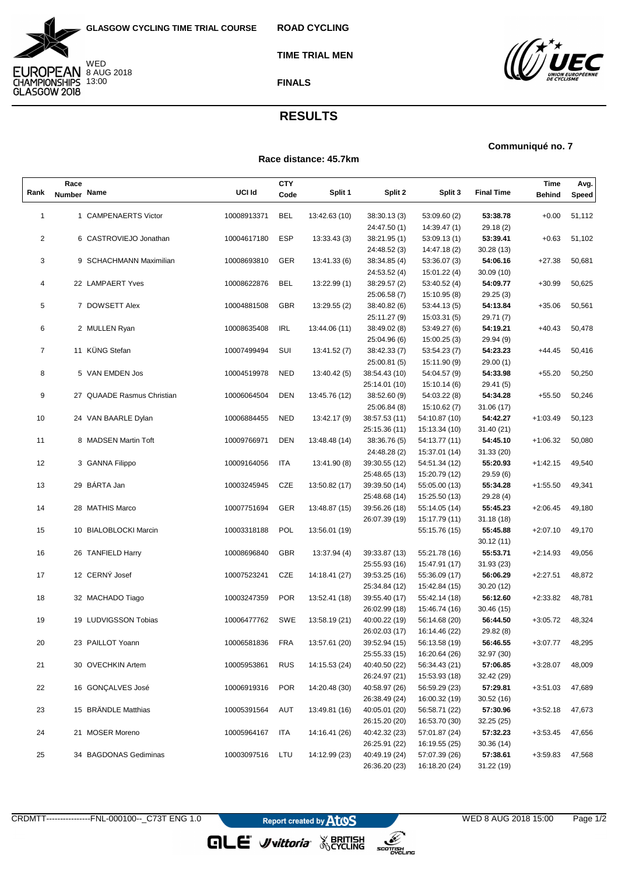



**TIME TRIAL MEN**

**ROAD CYCLING**

## **FINALS**



## **RESULTS**

**Race distance: 45.7km**

## **Communiqué no. 7**

|                | Race          |                            |             | <b>CTY</b> |               |                              |                              |                       | Time          | Avg.   |
|----------------|---------------|----------------------------|-------------|------------|---------------|------------------------------|------------------------------|-----------------------|---------------|--------|
| Rank           | <b>Number</b> | Name                       | UCI Id      | Code       | Split 1       | Split 2                      | Split 3                      | <b>Final Time</b>     | <b>Behind</b> | Speed  |
|                |               |                            |             |            |               |                              |                              |                       |               |        |
| $\mathbf{1}$   |               | 1 CAMPENAERTS Victor       | 10008913371 | BEL        | 13:42.63 (10) | 38:30.13 (3)                 | 53:09.60 (2)                 | 53:38.78              | $+0.00$       | 51,112 |
|                |               |                            |             |            |               | 24:47.50 (1)                 | 14:39.47 (1)                 | 29.18 (2)             |               |        |
| $\overline{c}$ |               | 6 CASTROVIEJO Jonathan     | 10004617180 | <b>ESP</b> | 13:33.43(3)   | 38:21.95 (1)                 | 53:09.13 (1)                 | 53:39.41              | $+0.63$       | 51,102 |
|                |               |                            |             |            |               | 24:48.52 (3)                 | 14:47.18 (2)                 | 30.28 (13)            |               |        |
| 3              |               | 9 SCHACHMANN Maximilian    | 10008693810 | GER        | 13:41.33 (6)  | 38:34.85 (4)                 | 53:36.07 (3)                 | 54:06.16              | $+27.38$      | 50,681 |
|                |               |                            |             |            |               | 24:53.52 (4)                 | 15:01.22 (4)                 | 30.09 (10)            |               |        |
| 4              |               | 22 LAMPAERT Yves           | 10008622876 | BEL        | 13:22.99 (1)  | 38:29.57 (2)                 | 53:40.52 (4)                 | 54:09.77              | $+30.99$      | 50,625 |
| 5              |               | 7 DOWSETT Alex             | 10004881508 | <b>GBR</b> |               | 25:06.58 (7)                 | 15:10.95 (8)                 | 29.25 (3)<br>54:13.84 |               |        |
|                |               |                            |             |            | 13:29.55 (2)  | 38:40.82 (6)                 | 53:44.13 (5)                 |                       | $+35.06$      | 50,561 |
| 6              |               | 2 MULLEN Ryan              | 10008635408 | <b>IRL</b> | 13:44.06 (11) | 25:11.27 (9)<br>38:49.02 (8) | 15:03.31 (5)<br>53:49.27 (6) | 29.71 (7)<br>54:19.21 | $+40.43$      | 50,478 |
|                |               |                            |             |            |               | 25:04.96 (6)                 | 15:00.25(3)                  | 29.94 (9)             |               |        |
| $\overline{7}$ |               | 11 KÜNG Stefan             | 10007499494 | SUI        | 13:41.52 (7)  | 38:42.33 (7)                 | 53:54.23 (7)                 | 54:23.23              | $+44.45$      | 50,416 |
|                |               |                            |             |            |               | 25:00.81 (5)                 | 15:11.90 (9)                 | 29.00 (1)             |               |        |
| 8              |               | 5 VAN EMDEN Jos            | 10004519978 | NED        | 13:40.42 (5)  | 38:54.43 (10)                | 54:04.57 (9)                 | 54:33.98              | $+55.20$      | 50,250 |
|                |               |                            |             |            |               | 25:14.01 (10)                | 15:10.14 (6)                 | 29.41 (5)             |               |        |
| 9              |               | 27 QUAADE Rasmus Christian | 10006064504 | DEN        | 13:45.76 (12) | 38:52.60 (9)                 | 54:03.22 (8)                 | 54:34.28              | $+55.50$      | 50,246 |
|                |               |                            |             |            |               | 25:06.84 (8)                 | 15:10.62 (7)                 | 31.06 (17)            |               |        |
| 10             |               | 24 VAN BAARLE Dylan        | 10006884455 | NED        | 13:42.17 (9)  | 38:57.53 (11)                | 54:10.87 (10)                | 54:42.27              | $+1:03.49$    | 50,123 |
|                |               |                            |             |            |               | 25:15.36 (11)                | 15:13.34 (10)                | 31.40 (21)            |               |        |
| 11             |               | 8 MADSEN Martin Toft       | 10009766971 | <b>DEN</b> | 13:48.48 (14) | 38:36.76 (5)                 | 54:13.77 (11)                | 54:45.10              | $+1:06.32$    | 50,080 |
|                |               |                            |             |            |               | 24:48.28 (2)                 | 15:37.01 (14)                | 31.33 (20)            |               |        |
| 12             |               | 3 GANNA Filippo            | 10009164056 | <b>ITA</b> | 13:41.90 (8)  | 39:30.55 (12)                | 54:51.34 (12)                | 55:20.93              | $+1:42.15$    | 49,540 |
|                |               |                            |             |            |               | 25:48.65 (13)                | 15:20.79 (12)                | 29.59 (6)             |               |        |
| 13             |               | 29 BÁRTA Jan               | 10003245945 | CZE        | 13:50.82 (17) | 39:39.50 (14)                | 55:05.00 (13)                | 55:34.28              | $+1:55.50$    | 49,341 |
|                |               |                            |             |            |               | 25:48.68 (14)                | 15:25.50 (13)                | 29.28 (4)             |               |        |
| 14             |               | 28 MATHIS Marco            | 10007751694 | <b>GER</b> | 13:48.87 (15) | 39:56.26 (18)                | 55:14.05 (14)                | 55:45.23              | $+2:06.45$    | 49,180 |
|                |               |                            |             |            |               | 26:07.39 (19)                | 15:17.79 (11)                | 31.18(18)             |               |        |
| 15             |               | 10 BIALOBLOCKI Marcin      | 10003318188 | POL        | 13:56.01 (19) |                              | 55:15.76 (15)                | 55:45.88              | $+2:07.10$    | 49,170 |
|                |               |                            |             |            |               |                              |                              | 30.12 (11)            |               |        |
| 16             |               | 26 TANFIELD Harry          | 10008696840 | GBR        | 13:37.94 (4)  | 39:33.87 (13)                | 55:21.78 (16)                | 55:53.71              | $+2:14.93$    | 49,056 |
|                |               |                            |             |            |               | 25:55.93 (16)                | 15:47.91 (17)                | 31.93(23)             |               |        |
| 17             |               | 12 CERNÝ Josef             | 10007523241 | CZE        | 14:18.41 (27) | 39:53.25 (16)                | 55:36.09 (17)                | 56:06.29              | $+2:27.51$    | 48,872 |
|                |               |                            |             |            |               | 25:34.84 (12)                | 15:42.84 (15)                | 30.20(12)             |               |        |
| 18             |               | 32 MACHADO Tiago           | 10003247359 | <b>POR</b> | 13:52.41 (18) | 39:55.40 (17)                | 55:42.14 (18)                | 56:12.60              | $+2:33.82$    | 48,781 |
|                |               |                            |             |            |               | 26:02.99 (18)                | 15:46.74 (16)                | 30.46 (15)            |               |        |
| 19             |               | 19 LUDVIGSSON Tobias       | 10006477762 | SWE        | 13:58.19 (21) | 40:00.22 (19)                | 56:14.68 (20)                | 56:44.50              | $+3:05.72$    | 48,324 |
|                |               |                            |             |            |               | 26:02.03 (17)                | 16:14.46 (22)                | 29.82 (8)             |               |        |
| 20             |               | 23 PAILLOT Yoann           | 10006581836 | FRA        | 13:57.61 (20) | 39:52.94 (15)                | 56:13.58 (19)                | 56:46.55              | +3:07.77      | 48,295 |
|                |               |                            |             |            |               | 25:55.33 (15)                | 16:20.64 (26)                | 32.97 (30)            |               |        |
| 21             |               | 30 OVECHKIN Artem          | 10005953861 | <b>RUS</b> | 14:15.53 (24) | 40:40.50 (22)                | 56:34.43 (21)                | 57:06.85              | $+3:28.07$    | 48,009 |
|                |               |                            |             |            |               | 26:24.97 (21)                | 15:53.93 (18)                | 32.42 (29)            |               |        |
| 22             |               | 16 GONÇALVES José          | 10006919316 | <b>POR</b> | 14:20.48 (30) | 40:58.97 (26)                | 56:59.29 (23)                | 57:29.81              | +3:51.03      | 47,689 |
|                |               |                            |             |            |               | 26:38.49 (24)                | 16:00.32 (19)                | 30.52 (16)            |               |        |
| 23             |               | 15 BRÄNDLE Matthias        | 10005391564 | AUT        | 13:49.81 (16) | 40:05.01 (20)                | 56:58.71 (22)                | 57:30.96              | +3:52.18      | 47,673 |
|                |               |                            |             |            |               | 26:15.20 (20)                | 16:53.70 (30)                | 32.25(25)             |               |        |
| 24             |               | 21 MOSER Moreno            | 10005964167 | ITA        | 14:16.41 (26) | 40:42.32 (23)                | 57:01.87 (24)                | 57:32.23              | $+3:53.45$    | 47,656 |
|                |               |                            |             |            |               | 26:25.91 (22)                | 16:19.55 (25)                | 30.36 (14)            |               |        |
| 25             |               | 34 BAGDONAS Gediminas      | 10003097516 | LTU        | 14:12.99 (23) | 40:49.19 (24)                | 57:07.39 (26)                | 57:38.61              | $+3:59.83$    | 47,568 |
|                |               |                            |             |            |               | 26:36.20 (23)                | 16:18.20 (24)                | 31.22 (19)            |               |        |